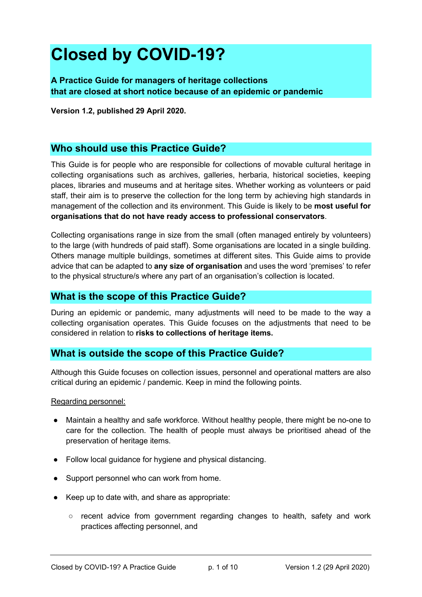# **Closed by COVID-19?**

**A Practice Guide for managers of heritage collections that are closed at short notice because of an epidemic or pandemic**

**Version 1.2, published 29 April 2020.**

## **Who should use this Practice Guide?**

This Guide is for people who are responsible for collections of movable cultural heritage in collecting organisations such as archives, galleries, herbaria, historical societies, keeping places, libraries and museums and at heritage sites. Whether working as volunteers or paid staff, their aim is to preserve the collection for the long term by achieving high standards in management of the collection and its environment. This Guide is likely to be **most useful for organisations that do not have ready access to professional conservators**.

Collecting organisations range in size from the small (often managed entirely by volunteers) to the large (with hundreds of paid staff). Some organisations are located in a single building. Others manage multiple buildings, sometimes at different sites. This Guide aims to provide advice that can be adapted to **any size of organisation** and uses the word 'premises' to refer to the physical structure/s where any part of an organisation's collection is located.

#### **What is the scope of this Practice Guide?**

During an epidemic or pandemic, many adjustments will need to be made to the way a collecting organisation operates. This Guide focuses on the adjustments that need to be considered in relation to **risks to collections of heritage items.**

## **What is outside the scope of this Practice Guide?**

Although this Guide focuses on collection issues, personnel and operational matters are also critical during an epidemic / pandemic. Keep in mind the following points.

Regarding personnel:

- Maintain a healthy and safe workforce. Without healthy people, there might be no-one to care for the collection. The health of people must always be prioritised ahead of the preservation of heritage items.
- Follow local guidance for hygiene and physical distancing.
- Support personnel who can work from home.
- Keep up to date with, and share as appropriate:
	- $\circ$  recent advice from government regarding changes to health, safety and work practices affecting personnel, and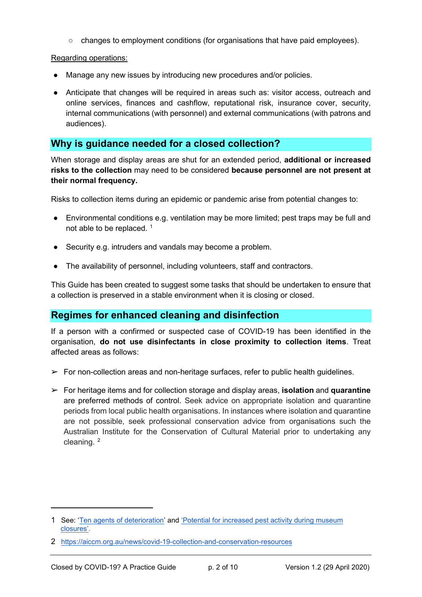○ changes to employment conditions (for organisations that have paid employees).

Regarding operations:

- Manage any new issues by introducing new procedures and/or policies.
- Anticipate that changes will be required in areas such as: visitor access, outreach and online services, finances and cashflow, reputational risk, insurance cover, security, internal communications (with personnel) and external communications (with patrons and audiences).

## **Why is guidance needed for a closed collection?**

When storage and display areas are shut for an extended period, **additional or increased risks to the collection** may need to be considered **because personnel are not present at their normal frequency.**

Risks to collection items during an epidemic or pandemic arise from potential changes to:

- Environmental conditions e.g. ventilation may be more limited; pest traps may be full and not able to be replaced.<sup>[1](#page-1-0)</sup>
- Security e.g. intruders and vandals may become a problem.
- The availability of personnel, including volunteers, staff and contractors.

This Guide has been created to suggest some tasks that should be undertaken to ensure that a collection is preserved in a stable environment when it is closing or closed.

## **Regimes for enhanced cleaning and disinfection**

If a person with a confirmed or suspected case of COVID-19 has been identified in the organisation, **do not use disinfectants in close proximity to collection items**. Treat affected areas as follows:

- $\triangleright$  For non-collection areas and non-heritage surfaces, refer to public health guidelines.
- ➢ For heritage items and for collection storage and display areas, **isolation** and **quarantine** are preferred methods of control. Seek advice on appropriate isolation and quarantine periods from local public health organisations. In instances where isolation and quarantine are not possible, seek professional conservation advice from organisations such the Australian Institute for the Conservation of Cultural Material prior to undertaking any cleaning. [2](#page-1-1)

<span id="page-1-0"></span><sup>1</sup> See: ['Ten agents of deterioration'](https://www.canada.ca/en/conservation-institute/services/agents-deterioration.html) and ['Potential for increased pest activity during museum](https://mgnsw.org.au/articles/potential-for-increased-pest-activity-during-museum-closures/)  [closures'.](https://mgnsw.org.au/articles/potential-for-increased-pest-activity-during-museum-closures/)

<span id="page-1-1"></span><sup>2</sup> <https://aiccm.org.au/news/covid-19-collection-and-conservation-resources>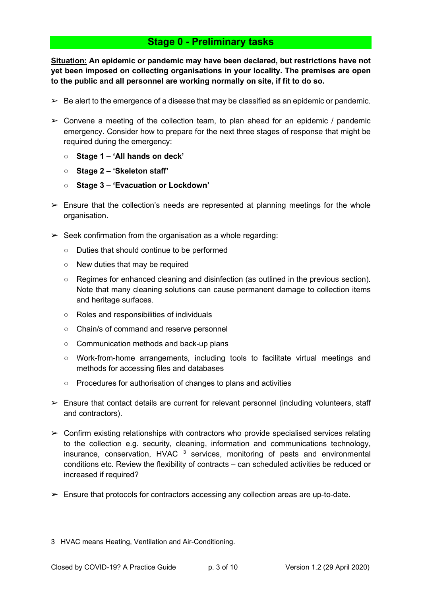# **Stage 0 - Preliminary tasks**

**Situation: An epidemic or pandemic may have been declared, but restrictions have not yet been imposed on collecting organisations in your locality. The premises are open to the public and all personnel are working normally on site, if fit to do so.**

- $\triangleright$  Be alert to the emergence of a disease that may be classified as an epidemic or pandemic.
- $\triangleright$  Convene a meeting of the collection team, to plan ahead for an epidemic / pandemic emergency. Consider how to prepare for the next three stages of response that might be required during the emergency:
	- **Stage 1 – 'All hands on deck'**
	- **Stage 2 – 'Skeleton staff'**
	- **Stage 3 – 'Evacuation or Lockdown'**
- $\triangleright$  Ensure that the collection's needs are represented at planning meetings for the whole organisation.
- $\triangleright$  Seek confirmation from the organisation as a whole regarding:
	- Duties that should continue to be performed
	- New duties that may be required
	- Regimes for enhanced cleaning and disinfection (as outlined in the previous section). Note that many cleaning solutions can cause permanent damage to collection items and heritage surfaces.
	- Roles and responsibilities of individuals
	- Chain/s of command and reserve personnel
	- Communication methods and back-up plans
	- Work-from-home arrangements, including tools to facilitate virtual meetings and methods for accessing files and databases
	- Procedures for authorisation of changes to plans and activities
- $\triangleright$  Ensure that contact details are current for relevant personnel (including volunteers, staff and contractors).
- $\triangleright$  Confirm existing relationships with contractors who provide specialised services relating to the collection e.g. security, cleaning, information and communications technology, insurance, conservation, HVAC<sup>[3](#page-2-0)</sup> services, [m](https://d.docs.live.net/f1126d72c392ef8b/Documents/MBConsulting/Projects%20-%20Voluntary/Current%20or%20open/COVID%2019/ClosedByCOVID19-Version1-2%20-%20DRAFT%20-%20MER%20-%20MB.docx#_ftn3)onitoring of pests and environmental conditions etc. Review the flexibility of contracts – can scheduled activities be reduced or increased if required?
- $\triangleright$  Ensure that protocols for contractors accessing any collection areas are up-to-date.

<span id="page-2-0"></span><sup>3</sup> HVAC means Heating, Ventilation and Air-Conditioning.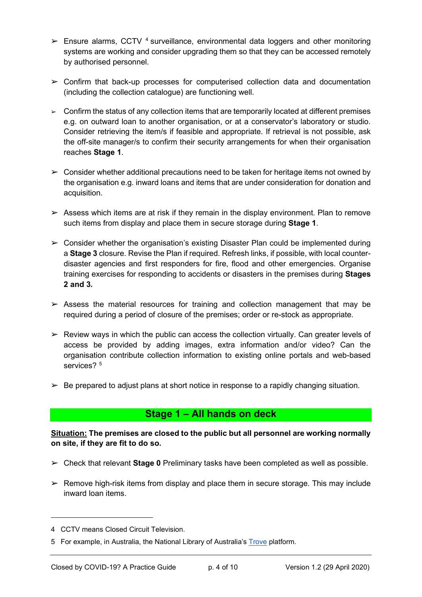- $\geq$  Ensure alarms, CCTV <sup>[4](#page-3-0)</sup> surveillance[,](https://d.docs.live.net/f1126d72c392ef8b/Documents/MBConsulting/Projects%20-%20Voluntary/Current%20or%20open/COVID%2019/ClosedByCOVID19-Version1-2%20-%20DRAFT%20-%20MER%20-%20MB.docx#_ftn4) environmental data loggers and other monitoring systems are working and consider upgrading them so that they can be accessed remotely by authorised personnel.
- $\geq$  Confirm that back-up processes for computerised collection data and documentation (including the collection catalogue) are functioning well.
- $\triangleright$  Confirm the status of any collection items that are temporarily located at different premises e.g. on outward loan to another organisation, or at a conservator's laboratory or studio. Consider retrieving the item/s if feasible and appropriate. If retrieval is not possible, ask the off-site manager/s to confirm their security arrangements for when their organisation reaches **Stage 1**.
- $\triangleright$  Consider whether additional precautions need to be taken for heritage items not owned by the organisation e.g. inward loans and items that are under consideration for donation and acquisition.
- $\triangleright$  Assess which items are at risk if they remain in the display environment. Plan to remove such items from display and place them in secure storage during **Stage 1**.
- $\triangleright$  Consider whether the organisation's existing Disaster Plan could be implemented during a **Stage 3** closure. Revise the Plan if required. Refresh links, if possible, with local counterdisaster agencies and first responders for fire, flood and other emergencies. Organise training exercises for responding to accidents or disasters in the premises during **Stages 2 and 3.**
- $\triangleright$  Assess the material resources for training and collection management that may be required during a period of closure of the premises; order or re-stock as appropriate.
- $\triangleright$  Review ways in which the public can access the collection virtually. Can greater levels of access be provided by adding images, extra information and/or video? Can the organisation contribute collection information to existing online portals and web-based services?<sup>[5](#page-3-1)</sup>
- $\triangleright$  Be prepared to adjust plans at short notice in response to a rapidly changing situation.

# **Stage 1 – All hands on deck**

#### **Situation: The premises are closed to the public but all personnel are working normally on site, if they are fit to do so.**

- ➢ Check that relevant **Stage 0** Preliminary tasks have been completed as well as possible.
- $\triangleright$  Remove high-risk items from display and place them in secure storage. This may include inward loan items.

<span id="page-3-0"></span><sup>4</sup> CCTV means Closed Circuit Television.

<span id="page-3-1"></span><sup>5</sup> For example, in Australia, the National Library of Australia's [Trove](https://trove.nla.gov.au/) platform.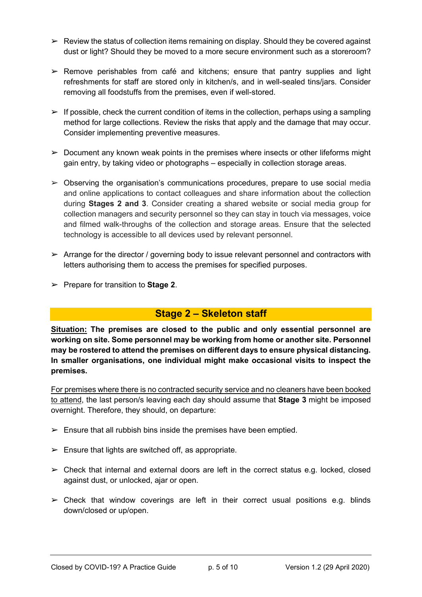- $\triangleright$  Review the status of collection items remaining on display. Should they be covered against dust or light? Should they be moved to a more secure environment such as a storeroom?
- $\triangleright$  Remove perishables from café and kitchens; ensure that pantry supplies and light refreshments for staff are stored only in kitchen/s, and in well-sealed tins/jars. Consider removing all foodstuffs from the premises, even if well-stored.
- $\triangleright$  $\triangleright$  $\triangleright$  If possible, check the current condition of items in the collection, perhaps using a sampling method for large collections. Review the risks that apply and the damage that may occur. Consider implementing preventive measures.
- $\triangleright$  Document any known weak points in the premises where insects or other lifeforms might gain entry, by taking video or photographs – especially in collection storage areas.
- $\geq$  Observing the organisation's communications procedures, prepare to use social media and online applications to contact colleagues and share information about the collection during **Stages 2 and 3**. Consider creating a shared website or social media group for collection managers and security personnel so they can stay in touch via messages, voice and filmed walk-throughs of the collection and storage areas. Ensure that the selected technology is accessible to all devices used by relevant personnel.
- $\triangleright$  Arrange for the director / governing body to issue relevant personnel and contractors with letters authorising them to access the premises for specified purposes.
- ➢ Prepare for transition to **Stage 2**.

# **Stage 2 – Skeleton staff**

**Situation: The premises are closed to the public and only essential personnel are working on site. Some personnel may be working from home or another site. Personnel may be rostered to attend the premises on different days to ensure physical distancing. In smaller organisations, one individual might make occasional visits to inspect the premises.**

For premises where there is no contracted security service and no cleaners have been booked to attend, the last person/s leaving each day should assume that **Stage 3** might be imposed overnight. Therefore, they should, on departure:

- $\triangleright$  Ensure that all rubbish bins inside the premises have been emptied.
- $\triangleright$  Ensure that lights are switched off, as appropriate.
- $\triangleright$  Check that internal and external doors are left in the correct status e.g. locked, closed against dust, or unlocked, ajar or open.
- $\geq$  Check that window coverings are left in their correct usual positions e.g. blinds down/closed or up/open.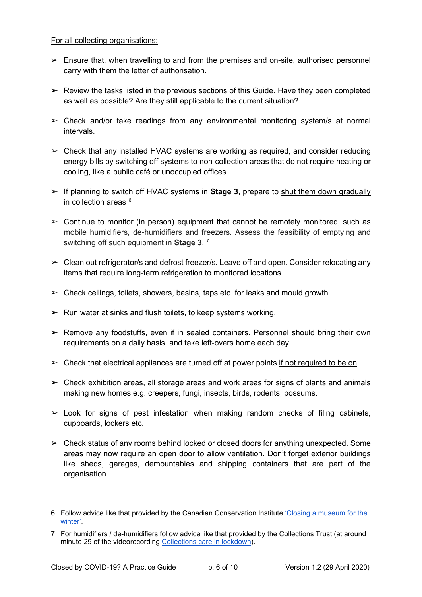#### For all collecting organisations:

- $\triangleright$  Ensure that, when travelling to and from the premises and on-site, authorised personnel carry with them the letter of authorisation.
- $\triangleright$  Review the tasks listed in the previous sections of this Guide. Have they been completed as well as possible? Are they still applicable to the current situation?
- $\geq$  Check and/or take readings from any environmental monitoring system/s at normal intervals.
- $\triangleright$  Check that any installed HVAC systems are working as required, and consider reducing energy bills by switching off systems to non-collection areas that do not require heating or cooling, like a public café or unoccupied offices.
- $\triangleright$  If planning to switch off HVAC systems in **Stage 3**, prepare to shut them down gradually in collection areas  $6$
- $\geq$  Continue to monitor (in person) equipment that cannot be remotely monitored, such as mobile humidifiers, de-humidifiers and freezers. Assess the feasibility of emptying and switching off such equipment in **Stage 3**. [7](#page-5-1)
- $\triangleright$  Clean out refrigerator/s and defrost freezer/s. Leave off and open. Consider relocating any items that require long-term refrigeration to monitored locations.
- $\triangleright$  Check ceilings, toilets, showers, basins, taps etc. for leaks and mould growth.
- $\triangleright$  Run water at sinks and flush toilets, to keep systems working.
- $\triangleright$  Remove any foodstuffs, even if in sealed containers. Personnel should bring their own requirements on a daily basis, and take left-overs home each day.
- $\triangleright$  Check that electrical appliances are turned off at power points if not required to be on.
- $\triangleright$  Check exhibition areas, all storage areas and work areas for signs of plants and animals making new homes e.g. creepers, fungi, insects, birds, rodents, possums.
- $\triangleright$  Look for signs of pest infestation when making random checks of filing cabinets, cupboards, lockers etc.
- $\triangleright$  Check status of any rooms behind locked or closed doors for anything unexpected. Some areas may now require an open door to allow ventilation. Don't forget exterior buildings like sheds, garages, demountables and shipping containers that are part of the organisation.

<span id="page-5-0"></span><sup>6</sup> Follow advice like that provided by the Canadian Conservation Institute ['Closing a museum for the](https://www.canada.ca/en/conservation-institute/services/conservation-preservation-publications/canadian-conservation-institute-notes/closing-museum-winter.html?fbclid=IwAR323L8xIjBw6g2blu5tjlK21WUCJ0LTCwyUN3IX9SwHxY1sLWC3BX5Et0A)  [winter'.](https://www.canada.ca/en/conservation-institute/services/conservation-preservation-publications/canadian-conservation-institute-notes/closing-museum-winter.html?fbclid=IwAR323L8xIjBw6g2blu5tjlK21WUCJ0LTCwyUN3IX9SwHxY1sLWC3BX5Et0A)

<span id="page-5-1"></span><sup>7</sup> For humidifiers / de-humidifiers follow advice like that provided by the Collections Trust (at around minute 29 of [the videorecording](https://collectionstrust.org.uk/resource/collections-care-in-lockdown-qa-panel-video-and-transcript/) [Collections care in lockdown\)](https://collectionstrust.org.uk/resource/collections-care-in-lockdown-qa-panel-video-and-transcript/).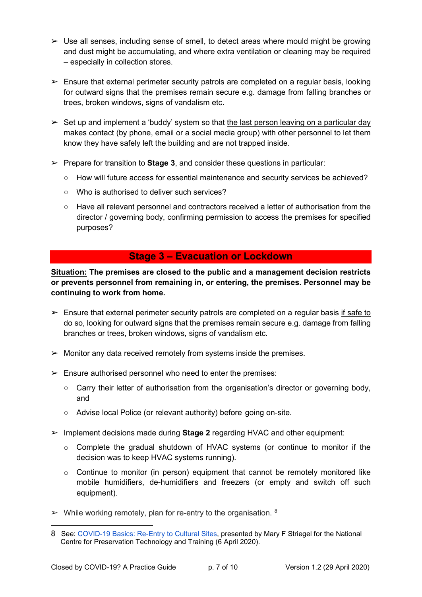- $\triangleright$  Use all senses, including sense of smell, to detect areas where mould might be growing and dust might be accumulating, and where extra ventilation or cleaning may be required – especially in collection stores.
- $\triangleright$  Ensure that external perimeter security patrols are completed on a regular basis, looking for outward signs that the premises remain secure e.g. damage from falling branches or trees, broken windows, signs of vandalism etc.
- $\triangleright$  Set up and implement a 'buddy' system so that the last person leaving on a particular day makes contact (by phone, email or a social media group) with other personnel to let them know they have safely left the building and are not trapped inside.
- $\triangleright$  Prepare for transition to **Stage 3**, and consider these questions in particular:
	- How will future access for essential maintenance and security services be achieved?
	- Who is authorised to deliver such services?
	- Have all relevant personnel and contractors received a letter of authorisation from the director / governing body, confirming permission to access the premises for specified purposes?

## **Stage 3 – Evacuation or Lockdown**

**Situation: The premises are closed to the public and a management decision restricts or prevents personnel from remaining in, or entering, the premises. Personnel may be continuing to work from home.**

- $\triangleright$  Ensure that external perimeter security patrols are completed on a regular basis if safe to do so, looking for outward signs that the premises remain secure e.g. damage from falling branches or trees, broken windows, signs of vandalism etc.
- $\triangleright$  Monitor any data received remotely from systems inside the premises.
- $\triangleright$  Ensure authorised personnel who need to enter the premises:
	- Ca[r](https://d.docs.live.net/f1126d72c392ef8b/Documents/MBConsulting/Projects%20-%20Voluntary/Current%20or%20open/COVID%2019/ClosedByCOVID19-Version1-2%20-%20DRAFT%20-%20MER%20-%20MB.docx#_msocom_53)ry their letter of authorisation from the organisation's director or governing body, and
	- Advise local Police (or relevant authority) before going on-site.
- ➢ Implement decisions made during **Stage 2** regarding HVAC and other equipment:
	- $\circ$  Complete the gradual shutdown of HVAC systems (or continue to monitor if the decision was to keep HVAC systems running).
	- $\circ$  Continue to monitor (in person) equipment that cannot be remotely monitored like mobile humidifiers, de-humidifiers and freezers (or empty and switch off such equipment).
- $\triangleright$  While working remotely, plan for re-entry to the organisation. <sup>[8](#page-6-0)</sup>

<span id="page-6-0"></span><sup>8</sup> See: [COVID-19 Basics: Re-Entry to Cultural Sites,](https://www.ncptt.nps.gov/blog/covid-19-basics-re-entry-to-cultural-sites/) presented by Mary F Striegel for the National Centre for Preservation Technology and Training (6 April 2020).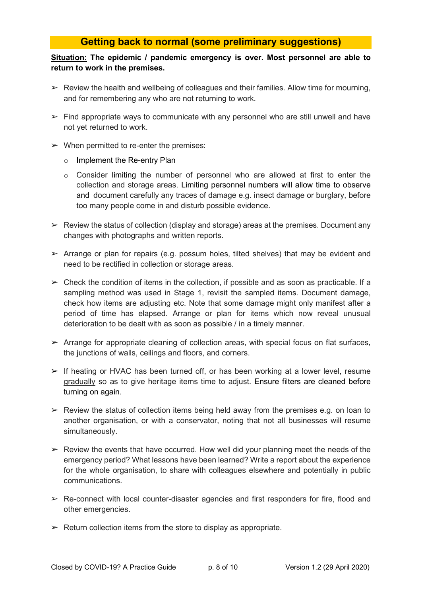## **Getting back to normal (some preliminary suggestions)**

#### **Situation: The epidemic / pandemic emergency is over. Most personnel are able to return to work in the premises.**

- $\triangleright$  Review the health and wellbeing of colleagues and their families. Allow time for mourning, and for remembering any who are not returning to work.
- $\triangleright$  Find appropriate ways to communicate with any personnel who are still unwell and have not yet returned to work.
- $\triangleright$  When permitted to re-enter the premises:
	- o Implement the Re-entry Plan
	- $\circ$  Consider limiting the number of personnel who are allowed at first to enter the collection and storage areas. Limiting personnel numbers will allow time to observe and document carefully any traces of damage e.g. insect damage or burglary, before too many people come in and disturb possible evidence.
- $\triangleright$  Review the status of collection (display and storage) areas at the premises. Document any changes with photographs and written reports.
- $\triangleright$  Arrange or plan for repairs (e.g. possum holes, tilted shelves) that may be evident and need to be rectified in collection or storage areas.
- $\triangleright$  Check the condition of items in the collection, if possible and as soon as practicable. If a sampling method was used in Stage 1, revisit the sampled items. Document damage, check how items are adjusting etc. Note that some damage might only manifest after a period of time has elapsed. Arrange or plan for items which now reveal unusual deterioration to be dealt with as soon as possible / in a timely manner.
- $\triangleright$  Arrange for appropriate cleaning of collection areas, with special focus on flat surfaces, the junctions of walls, ceilings and floors, and corners.
- $\triangleright$  If heating or HVAC has been turned off, or has been working at a lower level, resume gradually so as to give heritage items time to adjust. Ensure filters are cleaned before turning on again.
- $\triangleright$  Review the status of collection items being held away from the premises e.g. on loan to another organisation, or with a conservator, noting that not all businesses will resume simultaneously.
- $\triangleright$  Review the events that have occurred. How well did your planning meet the needs of the emergency period? What lessons have been learned? Write a report about the experience for the whole organisation, to share with colleagues elsewhere and potentially in public communications.
- $\triangleright$  Re-connect with local counter-disaster agencies and first responders for fire, flood and other emergencies.
- $\triangleright$  Return collection items from the store to display as appropriate.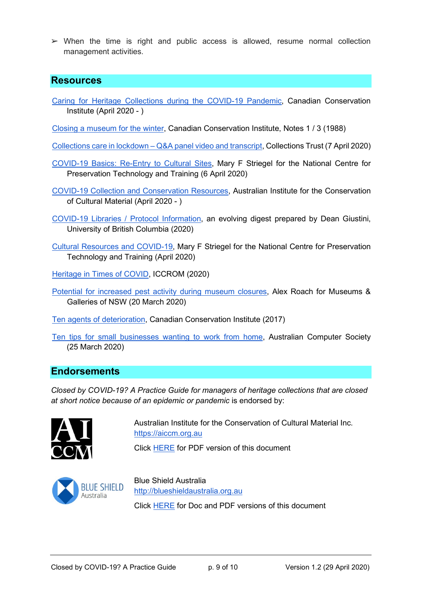$\triangleright$  When the time is right and public access is allowed, resume normal collection management activities.

# **Resources**

[Caring for Heritage Collections during the COVID-19 Pandemic,](https://www.canada.ca/en/conservation-institute/services/conservation-preservation-publications/canadian-conservation-institute-notes/caring-heritage-collections-covid19.html) Canadian Conservation Institute (April 2020 - )

[Closing a museum for the winter,](https://www.canada.ca/en/conservation-institute/services/conservation-preservation-publications/canadian-conservation-institute-notes/closing-museum-winter.html?fbclid=IwAR323L8xIjBw6g2blu5tjlK21WUCJ0LTCwyUN3IX9SwHxY1sLWC3BX5Et0A) Canadian Conservation Institute, Notes 1 / 3 (1988)

Collections care in lockdown – [Q&A panel video and transcript,](https://collectionstrust.org.uk/resource/collections-care-in-lockdown-qa-panel-video-and-transcript/) Collections Trust (7 April 2020)

- [COVID-19 Basics: Re-Entry to Cultural Sites,](https://www.ncptt.nps.gov/blog/covid-19-basics-re-entry-to-cultural-sites/) Mary F Striegel for the National Centre for Preservation Technology and Training (6 April 2020)
- [COVID-19 Collection and Conservation Resources,](https://aiccm.org.au/news/covid-19-collection-and-conservation-resources) Australian Institute for the Conservation of Cultural Material (April 2020 - )
- [COVID-19 Libraries / Protocol Information,](https://docs.google.com/document/d/1nqAmCFT2RZHKvpC5evLtfBiZ4EFFLEXx_3Pq6OldBN4/edit#heading=h.sjxsyq5vcmly) an evolving digest prepared by Dean Giustini, University of British Columbia (2020)
- [Cultural Resources and COVID-19,](https://www.ncptt.nps.gov/blog/cultural-resources-and-covid-19) Mary F Striegel for the National Centre for Preservation Technology and Training (April 2020)

[Heritage in Times of COVID,](https://www.iccrom.org/heritage-times-covid) ICCROM (2020)

[Potential for increased pest activity during museum closures,](https://mgnsw.org.au/articles/potential-for-increased-pest-activity-during-museum-closures/) Alex Roach for Museums & Galleries of NSW (20 March 2020)

[Ten agents of deterioration,](https://www.canada.ca/en/conservation-institute/services/agents-deterioration.html) Canadian Conservation Institute (2017)

[Ten tips for small businesses wanting to work from home,](http://www.acs.org.au/content/dam/acs/acs-publications/covid-19/ACS-SmallBusiness-WFH-10Tips.pdf) Australian Computer Society (25 March 2020)

## **Endorsements**

*Closed by COVID-19? A Practice Guide for managers of heritage collections that are closed at short notice because of an epidemic or pandemic* is endorsed by:



Australian Institute for the Conservation of Cultural Material Inc. [https://aiccm.org.au](https://aiccm.org.au/)

Click [HERE](https://aiccm.org.au/news/covid-19-collection-and-conservation-resources) for PDF version of this document



Blue Shield Australia [http://blueshieldaustralia.org.au](http://blueshieldaustralia.org.au/) Click [HERE](http://blueshieldaustralia.org.au/news/closed-by-covid-19-checklist-for-glams-and-historical-and-heritage-sites/) for Doc and PDF versions of this document